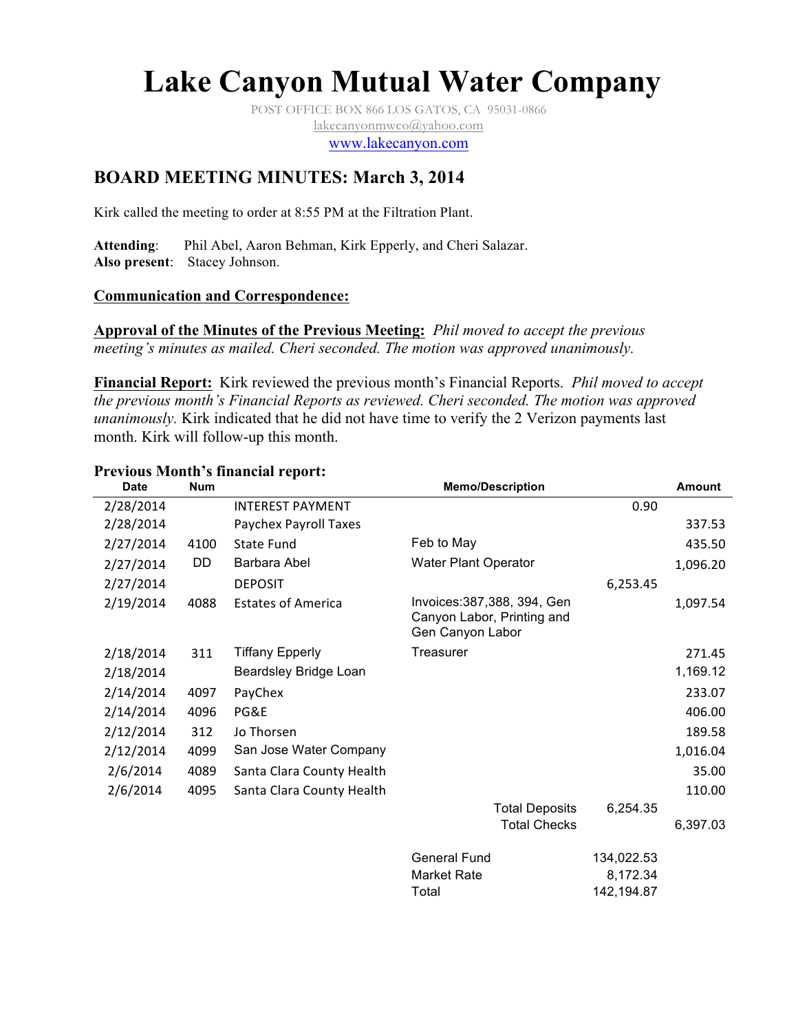# **Lake Canyon Mutual Water Company**

POST OFFICE BOX 866 LOS GATOS, CA 95031-0866 lakecanyonmwco@yahoo.com

www.lakecanyon.com

# **BOARD MEETING MINUTES: March 3, 2014**

Kirk called the meeting to order at 8:55 PM at the Filtration Plant.

**Attending**: Phil Abel, Aaron Behman, Kirk Epperly, and Cheri Salazar. **Also present**: Stacey Johnson.

#### **Communication and Correspondence:**

**Approval of the Minutes of the Previous Meeting:** *Phil moved to accept the previous meeting's minutes as mailed. Cheri seconded. The motion was approved unanimously.*

**Financial Report:** Kirk reviewed the previous month's Financial Reports. *Phil moved to accept the previous month's Financial Reports as reviewed. Cheri seconded. The motion was approved unanimously.* Kirk indicated that he did not have time to verify the 2 Verizon payments last month. Kirk will follow-up this month.

#### **Previous Month's financial report:**

| <b>Date</b> | <b>Num</b> |                           |                                                                                | <b>Memo/Description</b><br><b>Amount</b><br>0.90<br>337.53<br>435.50 |          |  |  |
|-------------|------------|---------------------------|--------------------------------------------------------------------------------|----------------------------------------------------------------------|----------|--|--|
| 2/28/2014   |            | <b>INTEREST PAYMENT</b>   |                                                                                |                                                                      |          |  |  |
| 2/28/2014   |            | Paychex Payroll Taxes     |                                                                                |                                                                      |          |  |  |
| 2/27/2014   | 4100       | State Fund                | Feb to May                                                                     |                                                                      |          |  |  |
| 2/27/2014   | DD         | Barbara Abel              | <b>Water Plant Operator</b>                                                    |                                                                      | 1,096.20 |  |  |
| 2/27/2014   |            | <b>DEPOSIT</b>            |                                                                                | 6,253.45                                                             |          |  |  |
| 2/19/2014   | 4088       | <b>Estates of America</b> | Invoices: 387, 388, 394, Gen<br>Canyon Labor, Printing and<br>Gen Canyon Labor |                                                                      | 1,097.54 |  |  |
| 2/18/2014   | 311        | <b>Tiffany Epperly</b>    | Treasurer                                                                      |                                                                      | 271.45   |  |  |
| 2/18/2014   |            | Beardsley Bridge Loan     |                                                                                |                                                                      | 1,169.12 |  |  |
| 2/14/2014   | 4097       | PayChex                   |                                                                                |                                                                      | 233.07   |  |  |
| 2/14/2014   | 4096       | PG&E                      |                                                                                |                                                                      | 406.00   |  |  |
| 2/12/2014   | 312        | Jo Thorsen                |                                                                                |                                                                      | 189.58   |  |  |
| 2/12/2014   | 4099       | San Jose Water Company    |                                                                                |                                                                      | 1,016.04 |  |  |
| 2/6/2014    | 4089       | Santa Clara County Health |                                                                                |                                                                      | 35.00    |  |  |
| 2/6/2014    | 4095       | Santa Clara County Health |                                                                                |                                                                      | 110.00   |  |  |
|             |            |                           | <b>Total Deposits</b><br><b>Total Checks</b>                                   | 6,254.35                                                             | 6,397.03 |  |  |
|             |            |                           | <b>General Fund</b>                                                            | 134,022.53                                                           |          |  |  |
|             |            |                           | <b>Market Rate</b><br>Total                                                    | 8,172.34<br>142,194.87                                               |          |  |  |
|             |            |                           |                                                                                |                                                                      |          |  |  |